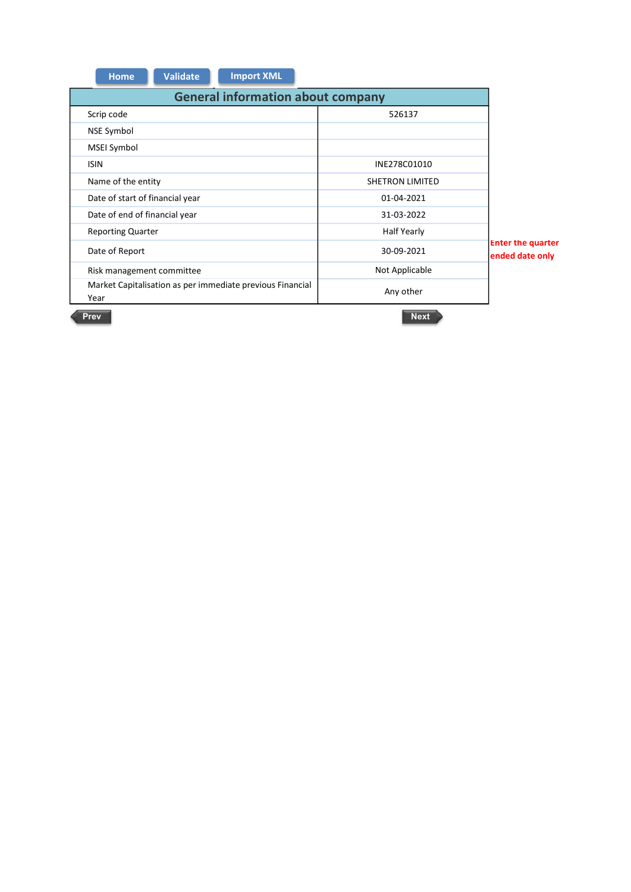| <b>Import XML</b><br><b>Validate</b><br>Home                      |                    |                                             |
|-------------------------------------------------------------------|--------------------|---------------------------------------------|
| <b>General information about company</b>                          |                    |                                             |
| Scrip code                                                        | 526137             |                                             |
|                                                                   |                    |                                             |
| NSE Symbol                                                        |                    |                                             |
| MSEI Symbol                                                       |                    |                                             |
| <b>ISIN</b>                                                       | INE278C01010       |                                             |
| Name of the entity                                                | SHETRON LIMITED    |                                             |
| Date of start of financial year                                   | 01-04-2021         |                                             |
| Date of end of financial year                                     | 31-03-2022         |                                             |
| <b>Reporting Quarter</b>                                          | <b>Half Yearly</b> |                                             |
| Date of Report                                                    | 30-09-2021         | <b>Enter the quarter</b><br>ended date only |
| Risk management committee                                         | Not Applicable     |                                             |
| Market Capitalisation as per immediate previous Financial<br>Year | Any other          |                                             |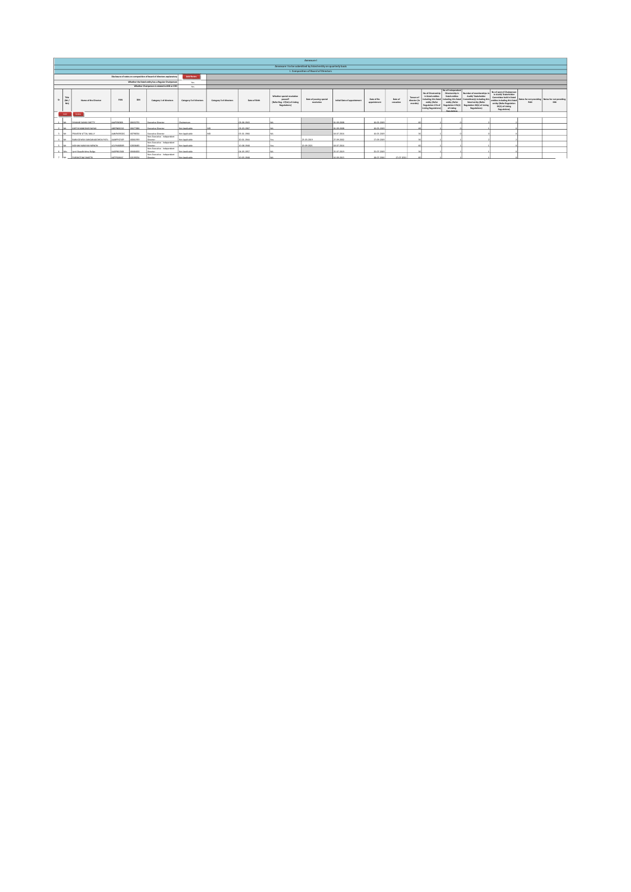|        |                     |                               |            |          |                                                                      |                         |                         |               |                                                                                      | Annexure I                                                     |                             |                            |                     |                                    |                                                                                                                                       |                                                                                                                                                          |                                                                                                                                                 |                                                                                                                                                                                  |                                                        |            |
|--------|---------------------|-------------------------------|------------|----------|----------------------------------------------------------------------|-------------------------|-------------------------|---------------|--------------------------------------------------------------------------------------|----------------------------------------------------------------|-----------------------------|----------------------------|---------------------|------------------------------------|---------------------------------------------------------------------------------------------------------------------------------------|----------------------------------------------------------------------------------------------------------------------------------------------------------|-------------------------------------------------------------------------------------------------------------------------------------------------|----------------------------------------------------------------------------------------------------------------------------------------------------------------------------------|--------------------------------------------------------|------------|
|        |                     |                               |            |          |                                                                      |                         |                         |               |                                                                                      | Annexure I to be submitted by listed entity on quarterly basis |                             |                            |                     |                                    |                                                                                                                                       |                                                                                                                                                          |                                                                                                                                                 |                                                                                                                                                                                  |                                                        |            |
|        |                     |                               |            |          |                                                                      |                         |                         |               |                                                                                      | I. Composition of Board of Directors                           |                             |                            |                     |                                    |                                                                                                                                       |                                                                                                                                                          |                                                                                                                                                 |                                                                                                                                                                                  |                                                        |            |
|        |                     |                               |            |          | Disclosure of notes on composition of board of directors explanatory | <b>Add Notes</b>        |                         |               |                                                                                      |                                                                |                             |                            |                     |                                    |                                                                                                                                       |                                                                                                                                                          |                                                                                                                                                 |                                                                                                                                                                                  |                                                        |            |
|        |                     |                               |            |          | Whether the listed entity has a Regular Chairpenco                   | Yes                     |                         |               |                                                                                      |                                                                |                             |                            |                     |                                    |                                                                                                                                       |                                                                                                                                                          |                                                                                                                                                 |                                                                                                                                                                                  |                                                        |            |
|        |                     |                               |            |          | Whether Chairpenco is related to MD or CEO                           | Yes                     |                         |               |                                                                                      |                                                                |                             |                            |                     |                                    |                                                                                                                                       |                                                                                                                                                          |                                                                                                                                                 |                                                                                                                                                                                  |                                                        |            |
|        | Title<br>(Mr/<br>Mu | Name of the Director          | PAN        | OIN      | Category 1 of directors                                              | Category 2 of directors | Category 3 of directors | Date of Birth | Whether special resolution<br>gamed?<br>IRefer Reg. 17(1A) of Listing<br>Regulations | Date of passing special<br>resolution                          | Initial Date of appointment | Date of Re-<br>appointment | Date of<br>countien | Tenure of<br>director(in<br>months | No of Directorship<br>in listed entities<br>including this listed<br>entity (Refer<br>Regulation 17A of<br><b>Usting Regulations?</b> | No of Indegendent<br>Directorybin 3<br>listed entities<br>including this listed<br>entity (Refer<br>Regulation 17/411<br>of Listing<br><b>Basedeklar</b> | Number of memberships<br>Audit/ Stakeholder<br>Committeeld including this<br>listed entity (Autor<br>Regulation 26(1) of Listing<br>Regulations | No of post of Chairpenpn<br>in Audit/ Stakeholder<br>Committee held in listed<br>entities including this listed<br>entity (Refer Regulation)<br>26(1) of Listing<br>Regulations) | Notes for not providing Notes for not providing<br>PAN | <b>DIN</b> |
|        | Add                 | Celete                        |            |          |                                                                      |                         |                         |               |                                                                                      |                                                                |                             |                            |                     |                                    |                                                                                                                                       |                                                                                                                                                          |                                                                                                                                                 |                                                                                                                                                                                  |                                                        |            |
|        | <b>Bally</b>        | <b>DIVAKAR SANKU SHETTY</b>   | ANISSEDER  | 00432755 | Executive Director                                                   | Chairpenge              |                         | 03061963      |                                                                                      |                                                                | 01-09-2008                  | 16-05-2019                 |                     |                                    |                                                                                                                                       |                                                                                                                                                          |                                                                                                                                                 |                                                                                                                                                                                  |                                                        |            |
|        | <b>Billian</b>      | KARTIK MANOHAR NAYAK          | ABEPN0021D | 00477686 | Executive Director                                                   | New Angelicable         |                         | 03-03-1967    |                                                                                      |                                                                | 01-09-2008                  | 16-05-2019                 |                     |                                    |                                                                                                                                       |                                                                                                                                                          |                                                                                                                                                 |                                                                                                                                                                                  |                                                        |            |
|        | $2$ M               | PRAVEEN VITTAL MALLY          | AANPM2902G | 00798354 | Executive Director                                                   | Not Applicable          |                         | 05-01-1966    |                                                                                      |                                                                | 18-07-2016                  | 16-05-2019                 |                     |                                    |                                                                                                                                       |                                                                                                                                                          |                                                                                                                                                 |                                                                                                                                                                                  |                                                        |            |
| $\sim$ |                     | BABUGOWDA SANGANAGOWDA PATIL  | AMPPATIESP | 00061959 | Non-Executive - Independent<br>Director                              | Not Applicable          |                         | 20-01-1944    |                                                                                      | 25-03-2019                                                     | 27-09-2002                  | 17-09-2019                 |                     |                                    |                                                                                                                                       |                                                                                                                                                          |                                                                                                                                                 |                                                                                                                                                                                  |                                                        |            |
|        | $5 - M$             | MOHAN NARAYAN MENON           | ACLPMER38R | 02838483 | Non-Executive - Independent<br>Director                              | New Angelicable         |                         | 10-08-1948    |                                                                                      | 20-09-2021                                                     | 18-07-2016                  |                            |                     |                                    |                                                                                                                                       |                                                                                                                                                          |                                                                                                                                                 |                                                                                                                                                                                  |                                                        |            |
|        |                     | 6 Mrs Bett Greekstehen Balley | AADDREISCO | COSSIGNO | Non-Executive - Independent<br>Director                              | Net Anglicable          |                         | 04-05-1957    |                                                                                      |                                                                | 25-07-2019                  | 25-07-2019                 |                     |                                    |                                                                                                                                       |                                                                                                                                                          |                                                                                                                                                 |                                                                                                                                                                                  |                                                        |            |
|        | har.                | PURSHOTAM SHASTRI             | AGTRS1841C | 02199254 | Non-Executive - Independent<br>Director                              | Next Americandes        |                         | 10.05.1948    |                                                                                      |                                                                | 16.09.3015                  | 18.03.3016                 | 12.07.302           |                                    |                                                                                                                                       |                                                                                                                                                          |                                                                                                                                                 |                                                                                                                                                                                  |                                                        |            |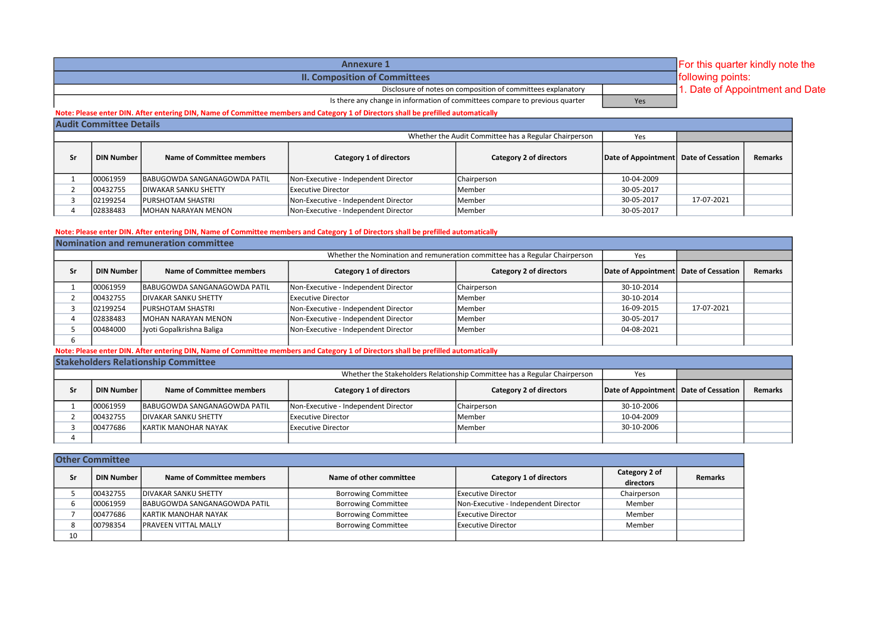| <b>Annexure 1</b>                                                            | For this quarter kindly note the |                                 |  |  |  |  |
|------------------------------------------------------------------------------|----------------------------------|---------------------------------|--|--|--|--|
| <b>II. Composition of Committees</b>                                         |                                  | <b>following points:</b>        |  |  |  |  |
| Disclosure of notes on composition of committees explanatory                 |                                  | 1. Date of Appointment and Date |  |  |  |  |
| Is there any change in information of committees compare to previous quarter | Yes                              |                                 |  |  |  |  |

## Note: Please enter DIN. After entering DIN, Name of Committee members and Category 1 of Directors shall be prefilled automatically

|    | <b>Audit Committee Details</b> |                                      |                                      |                                                       |                                       |            |                |
|----|--------------------------------|--------------------------------------|--------------------------------------|-------------------------------------------------------|---------------------------------------|------------|----------------|
|    |                                |                                      |                                      | Whether the Audit Committee has a Regular Chairperson | Yes                                   |            |                |
| Sr | <b>DIN Number</b>              | Name of Committee members            | Category 1 of directors              | Category 2 of directors                               | Date of Appointment Date of Cessation |            | <b>Remarks</b> |
|    | 00061959                       | <b>IBABUGOWDA SANGANAGOWDA PATIL</b> | Non-Executive - Independent Director | Chairperson                                           | 10-04-2009                            |            |                |
|    | 00432755                       | <b>IDIWAKAR SANKU SHETTY</b>         | <b>IExecutive Director</b>           | lMember                                               | 30-05-2017                            |            |                |
|    | 02199254                       | <b>IPURSHOTAM SHASTRI</b>            | Non-Executive - Independent Director | <b>I</b> Member                                       | 30-05-2017                            | 17-07-2021 |                |
|    | 02838483                       | <b>IMOHAN NARAYAN MENON</b>          | Non-Executive - Independent Director | <b>I</b> Member                                       | 30-05-2017                            |            |                |

## Note: Please enter DIN. After entering DIN, Name of Committee members and Category 1 of Directors shall be prefilled automatically

|    |                   | Nomination and remuneration committee |                                      |                                                                             |                                       |            |                |
|----|-------------------|---------------------------------------|--------------------------------------|-----------------------------------------------------------------------------|---------------------------------------|------------|----------------|
|    |                   |                                       |                                      | Whether the Nomination and remuneration committee has a Regular Chairperson | Yes                                   |            |                |
| Sr | <b>DIN Number</b> | Name of Committee members             | Category 1 of directors              | <b>Category 2 of directors</b>                                              | Date of Appointment Date of Cessation |            | <b>Remarks</b> |
|    | 00061959          | BABUGOWDA SANGANAGOWDA PATIL          | Non-Executive - Independent Director | Chairperson                                                                 | 30-10-2014                            |            |                |
|    | 00432755          | <b>IDIVAKAR SANKU SHETTY</b>          | Executive Director                   | <b>IMember</b>                                                              | 30-10-2014                            |            |                |
|    | 02199254          | <b>IPURSHOTAM SHASTRI</b>             | Non-Executive - Independent Director | <b>I</b> Member                                                             | 16-09-2015                            | 17-07-2021 |                |
|    | 02838483          | <b>IMOHAN NARAYAN MENON</b>           | Non-Executive - Independent Director | <b>IMember</b>                                                              | 30-05-2017                            |            |                |
|    | 00484000          | Jyoti Gopalkrishna Baliga             | Non-Executive - Independent Director | <b>I</b> Member                                                             | 04-08-2021                            |            |                |
|    |                   |                                       |                                      |                                                                             |                                       |            |                |

## Note: Please enter DIN. After entering DIN, Name of Committee members and Category 1 of Directors shall be prefilled automatically

## Stakeholders Relationship Committee

|    |                   |                                      |                                      | Whether the Stakeholders Relationship Committee has a Regular Chairperson | Yes                                   |                |
|----|-------------------|--------------------------------------|--------------------------------------|---------------------------------------------------------------------------|---------------------------------------|----------------|
| c۰ | <b>DIN Number</b> | Name of Committee members            | Category 1 of directors              | Category 2 of directors                                                   | Date of Appointment Date of Cessation | <b>Remarks</b> |
|    | 00061959          | <b>IBABUGOWDA SANGANAGOWDA PATIL</b> | Non-Executive - Independent Director | Chairperson                                                               | 30-10-2006                            |                |
|    | 00432755          | <b>IDIVAKAR SANKU SHETTY</b>         | <b>IExecutive Director</b>           | lMember                                                                   | 10-04-2009                            |                |
|    | 00477686          | <b>IKARTIK MANOHAR NAYAK</b>         | <b>IExecutive Director</b>           | lMember                                                                   | 30-10-2006                            |                |
|    |                   |                                      |                                      |                                                                           |                                       |                |

|    | <b>Other Committee</b> |                                  |                            |                                      |                            |                |
|----|------------------------|----------------------------------|----------------------------|--------------------------------------|----------------------------|----------------|
| Sr | <b>DIN Number</b>      | <b>Name of Committee members</b> | Name of other committee    | Category 1 of directors              | Category 2 of<br>directors | <b>Remarks</b> |
|    | 00432755               | <b>IDIVAKAR SANKU SHETTY</b>     | <b>Borrowing Committee</b> | Executive Director                   | Chairperson                |                |
|    | 00061959               | BABUGOWDA SANGANAGOWDA PATIL     | <b>Borrowing Committee</b> | Non-Executive - Independent Director | Member                     |                |
|    | 00477686               | <b>IKARTIK MANOHAR NAYAK</b>     | <b>Borrowing Committee</b> | <b>Executive Director</b>            | Member                     |                |
| 8  | 00798354               | <b>IPRAVEEN VITTAL MALLY</b>     | <b>Borrowing Committee</b> | <b>Executive Director</b>            | Member                     |                |
| 10 |                        |                                  |                            |                                      |                            |                |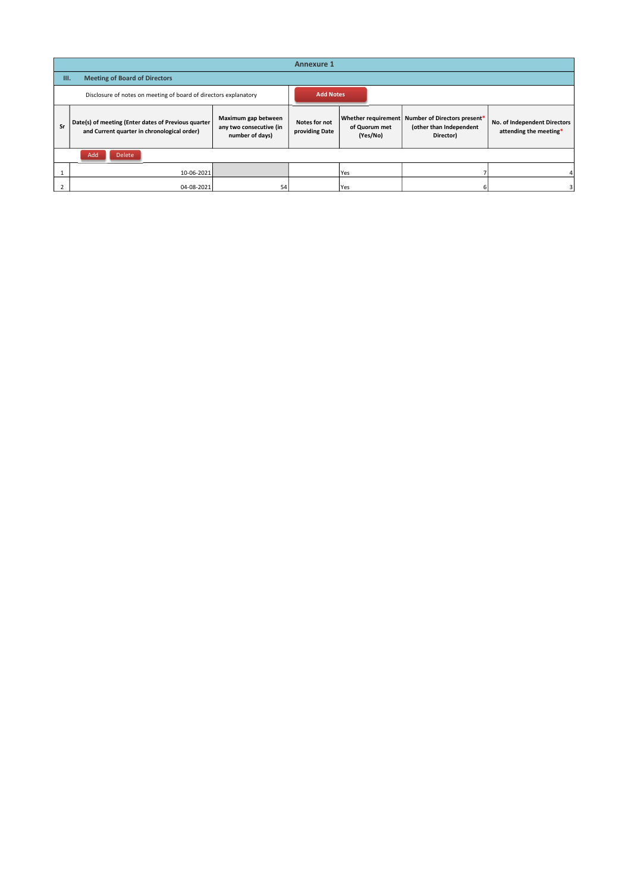|    |                                                                                                    |                                                                   | <b>Annexure 1</b>               |                           |                                                                                          |                                                        |
|----|----------------------------------------------------------------------------------------------------|-------------------------------------------------------------------|---------------------------------|---------------------------|------------------------------------------------------------------------------------------|--------------------------------------------------------|
| Ш. | <b>Meeting of Board of Directors</b>                                                               |                                                                   |                                 |                           |                                                                                          |                                                        |
|    | Disclosure of notes on meeting of board of directors explanatory                                   |                                                                   | <b>Add Notes</b>                |                           |                                                                                          |                                                        |
| Sr | Date(s) of meeting (Enter dates of Previous quarter<br>and Current quarter in chronological order) | Maximum gap between<br>any two consecutive (in<br>number of days) | Notes for not<br>providing Date | of Quorum met<br>(Yes/No) | Whether requirement Number of Directors present*<br>(other than Independent<br>Director) | No. of Independent Directors<br>attending the meeting* |
|    | Add<br>Delete                                                                                      |                                                                   |                                 |                           |                                                                                          |                                                        |
|    | 10-06-2021                                                                                         |                                                                   |                                 | Yes                       |                                                                                          |                                                        |
|    | 04-08-2021                                                                                         | 54                                                                |                                 | <b>Yes</b>                |                                                                                          |                                                        |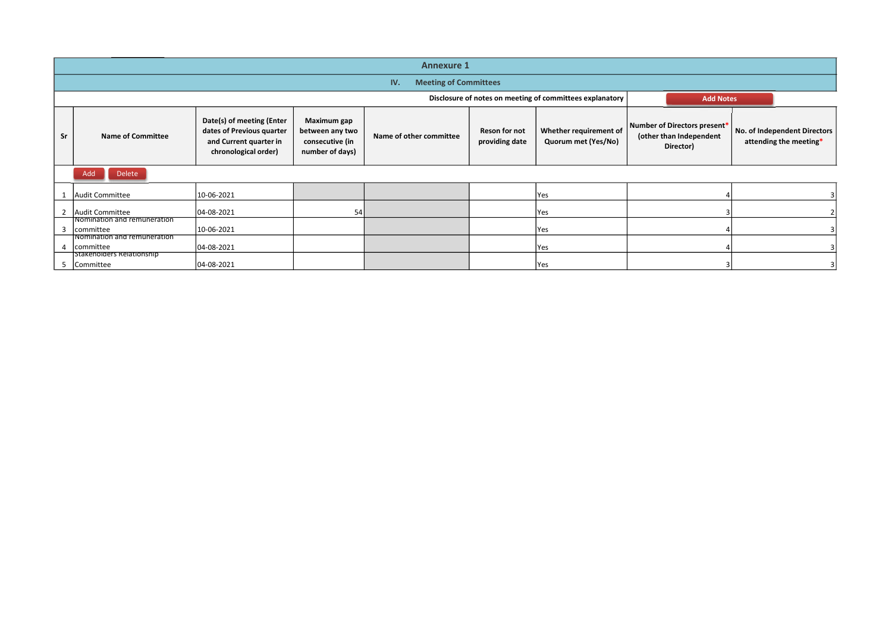|    |                                                                         |                                                                                                          |                                                                             | <b>Annexure 1</b>       |                                     |                                                                                                           |                                                                                          |                                                        |  |  |  |  |  |
|----|-------------------------------------------------------------------------|----------------------------------------------------------------------------------------------------------|-----------------------------------------------------------------------------|-------------------------|-------------------------------------|-----------------------------------------------------------------------------------------------------------|------------------------------------------------------------------------------------------|--------------------------------------------------------|--|--|--|--|--|
|    |                                                                         |                                                                                                          |                                                                             |                         | <b>Meeting of Committees</b><br>IV. |                                                                                                           |                                                                                          |                                                        |  |  |  |  |  |
|    |                                                                         |                                                                                                          |                                                                             |                         |                                     |                                                                                                           |                                                                                          |                                                        |  |  |  |  |  |
| Sr | <b>Name of Committee</b>                                                | Date(s) of meeting (Enter<br>dates of Previous quarter<br>and Current quarter in<br>chronological order) | <b>Maximum gap</b><br>between any two<br>consecutive (in<br>number of days) | Name of other committee | Reson for not<br>providing date     | Disclosure of notes on meeting of committees explanatory<br>Whether requirement of<br>Quorum met (Yes/No) | <b>Add Notes</b><br>Number of Directors present*<br>(other than Independent<br>Director) | No. of Independent Directors<br>attending the meeting* |  |  |  |  |  |
|    | Delete<br>Add                                                           |                                                                                                          |                                                                             |                         |                                     |                                                                                                           |                                                                                          |                                                        |  |  |  |  |  |
|    | 1 Audit Committee                                                       | 10-06-2021                                                                                               |                                                                             |                         |                                     | Yes                                                                                                       |                                                                                          |                                                        |  |  |  |  |  |
|    | 2 Audit Committee                                                       | 04-08-2021                                                                                               | 54                                                                          |                         |                                     | Yes                                                                                                       |                                                                                          |                                                        |  |  |  |  |  |
|    | Nomination and remuneration<br>3 committee                              | 10-06-2021                                                                                               |                                                                             |                         |                                     | Yes                                                                                                       |                                                                                          |                                                        |  |  |  |  |  |
|    | Nomination and remuneration<br>4 committee<br>Stakeholders Relationship | 04-08-2021                                                                                               |                                                                             |                         |                                     | Yes                                                                                                       |                                                                                          |                                                        |  |  |  |  |  |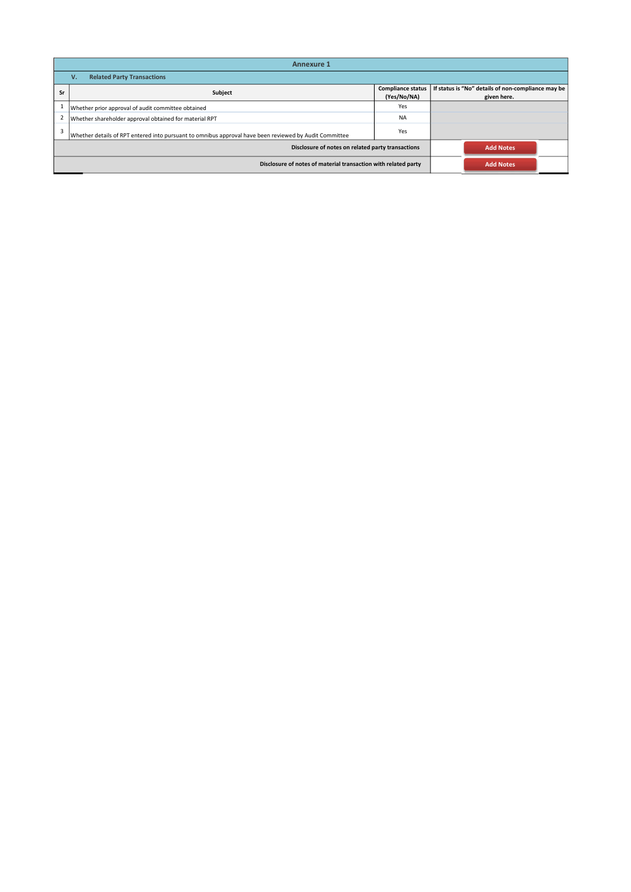|    | <b>Annexure 1</b>                                                                                      |                                         |                                                                   |
|----|--------------------------------------------------------------------------------------------------------|-----------------------------------------|-------------------------------------------------------------------|
|    | <b>Related Party Transactions</b><br>v.                                                                |                                         |                                                                   |
| Sr | Subject                                                                                                | <b>Compliance status</b><br>(Yes/No/NA) | If status is "No" details of non-compliance may be<br>given here. |
|    | Whether prior approval of audit committee obtained                                                     | Yes                                     |                                                                   |
|    | Whether shareholder approval obtained for material RPT                                                 | <b>NA</b>                               |                                                                   |
| 3  | Whether details of RPT entered into pursuant to omnibus approval have been reviewed by Audit Committee | Yes                                     |                                                                   |
|    | Disclosure of notes on related party transactions                                                      |                                         | <b>Add Notes</b>                                                  |
|    | Disclosure of notes of material transaction with related party                                         |                                         | <b>Add Notes</b>                                                  |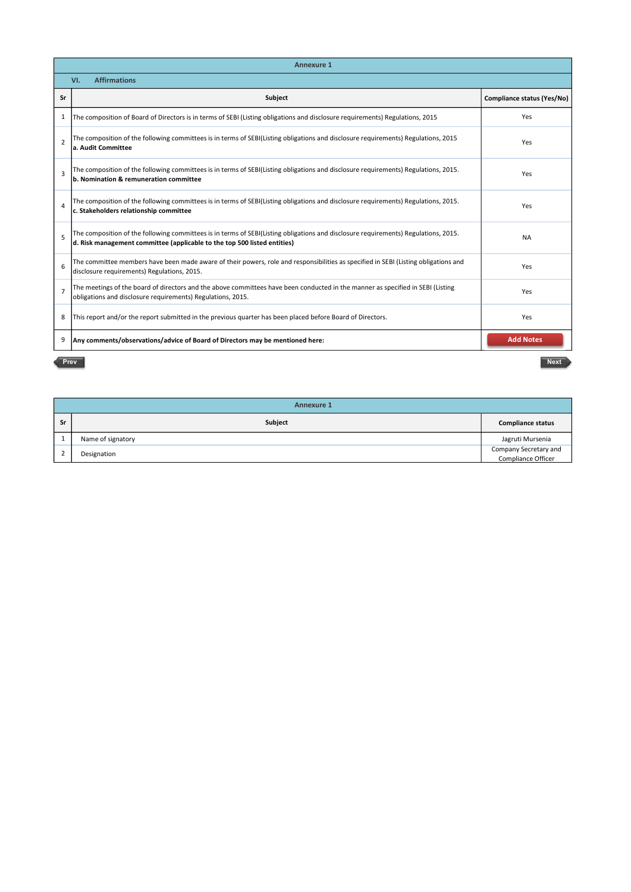|                | <b>Annexure 1</b>                                                                                                                                                                                               |                            |
|----------------|-----------------------------------------------------------------------------------------------------------------------------------------------------------------------------------------------------------------|----------------------------|
|                | <b>Affirmations</b><br>VI.                                                                                                                                                                                      |                            |
| Sr             | Subject                                                                                                                                                                                                         | Compliance status (Yes/No) |
| 1              | The composition of Board of Directors is in terms of SEBI (Listing obligations and disclosure requirements) Regulations, 2015                                                                                   | Yes                        |
| $\overline{2}$ | The composition of the following committees is in terms of SEBI(Listing obligations and disclosure requirements) Regulations, 2015<br>a. Audit Committee                                                        | Yes                        |
| $\overline{3}$ | The composition of the following committees is in terms of SEBI(Listing obligations and disclosure requirements) Regulations, 2015.<br>b. Nomination & remuneration committee                                   | Yes                        |
| 4              | The composition of the following committees is in terms of SEBI(Listing obligations and disclosure requirements) Regulations, 2015.<br>c. Stakeholders relationship committee                                   | Yes                        |
| 5              | The composition of the following committees is in terms of SEBI(Listing obligations and disclosure requirements) Regulations, 2015.<br>d. Risk management committee (applicable to the top 500 listed entities) | <b>NA</b>                  |
| 6              | The committee members have been made aware of their powers, role and responsibilities as specified in SEBI (Listing obligations and<br>disclosure requirements) Regulations, 2015.                              | Yes                        |
| $\overline{7}$ | The meetings of the board of directors and the above committees have been conducted in the manner as specified in SEBI (Listing<br>obligations and disclosure requirements) Regulations, 2015.                  | Yes                        |
| 8              | This report and/or the report submitted in the previous quarter has been placed before Board of Directors.                                                                                                      | Yes                        |
| 9              | Any comments/observations/advice of Board of Directors may be mentioned here:                                                                                                                                   | <b>Add Notes</b>           |
| Prev           |                                                                                                                                                                                                                 | <b>Next</b>                |

Subject **Compliance status** Subject **Compliance status** and the Marine of signatory and the Marine of Signatory Jagruti Mursenia 2 Designation Company Secretary and Compliance Officer Company Secretary and Compliance Officer Compliance Officer Annexure 1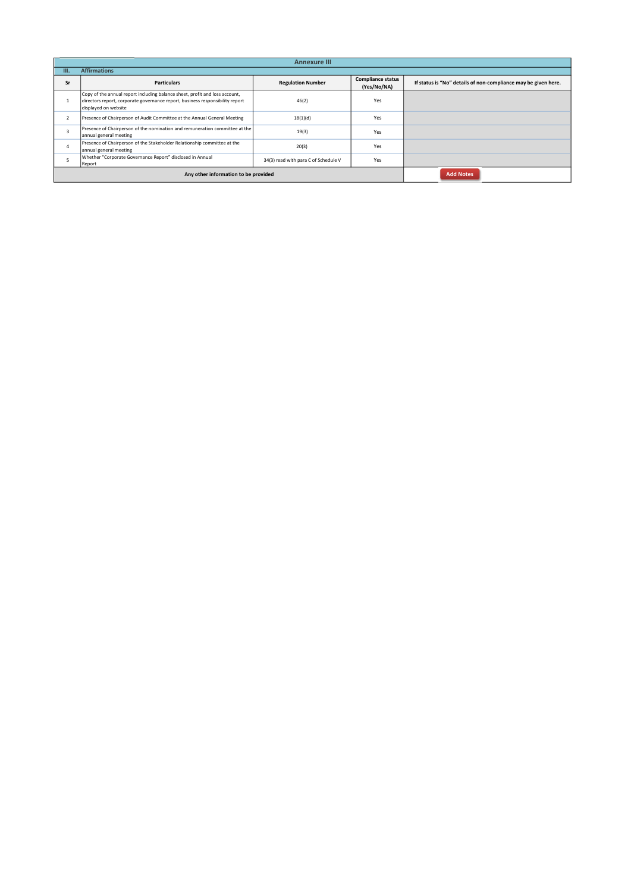|      |                                                                                                                                                                                      | <b>Annexure III</b>                  |                                         |                                                                |
|------|--------------------------------------------------------------------------------------------------------------------------------------------------------------------------------------|--------------------------------------|-----------------------------------------|----------------------------------------------------------------|
| TII. | <b>Affirmations</b>                                                                                                                                                                  |                                      |                                         |                                                                |
| Sr   | <b>Particulars</b>                                                                                                                                                                   | <b>Regulation Number</b>             | <b>Compliance status</b><br>(Yes/No/NA) | If status is "No" details of non-compliance may be given here. |
|      | Copy of the annual report including balance sheet, profit and loss account,<br>directors report, corporate governance report, business responsibility report<br>displayed on website | 46(2)                                | Yes                                     |                                                                |
|      | Presence of Chairperson of Audit Committee at the Annual General Meeting                                                                                                             | 18(1)(d)                             | Yes                                     |                                                                |
|      | Presence of Chairperson of the nomination and remuneration committee at the<br>annual general meeting                                                                                | 19(3)                                | Yes                                     |                                                                |
|      | Presence of Chairperson of the Stakeholder Relationship committee at the<br>annual general meeting                                                                                   | 20(3)                                | Yes                                     |                                                                |
|      | Whether "Corporate Governance Report" disclosed in Annual<br>Report                                                                                                                  | 34(3) read with para C of Schedule V | Yes                                     |                                                                |
|      | Any other information to be provided                                                                                                                                                 |                                      | <b>Add Notes</b>                        |                                                                |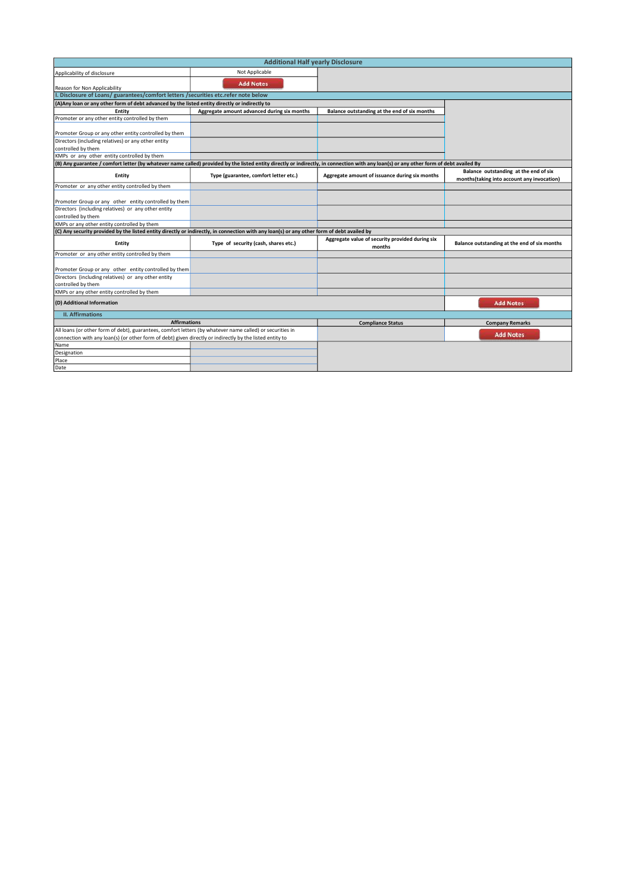| <b>Additional Half yearly Disclosure</b>                                                                                                                                               |                                             |                                                           |                                                                                     |  |
|----------------------------------------------------------------------------------------------------------------------------------------------------------------------------------------|---------------------------------------------|-----------------------------------------------------------|-------------------------------------------------------------------------------------|--|
| Applicability of disclosure                                                                                                                                                            | Not Applicable                              |                                                           |                                                                                     |  |
| Reason for Non Applicability                                                                                                                                                           | <b>Add Notes</b>                            |                                                           |                                                                                     |  |
| I. Disclosure of Loans/ guarantees/comfort letters / securities etc.refer note below                                                                                                   |                                             |                                                           |                                                                                     |  |
| (A) Any loan or any other form of debt advanced by the listed entity directly or indirectly to                                                                                         |                                             |                                                           |                                                                                     |  |
| Entity                                                                                                                                                                                 | Aggregate amount advanced during six months | Balance outstanding at the end of six months              |                                                                                     |  |
| Promoter or any other entity controlled by them                                                                                                                                        |                                             |                                                           |                                                                                     |  |
| Promoter Group or any other entity controlled by them                                                                                                                                  |                                             |                                                           |                                                                                     |  |
| Directors (including relatives) or any other entity<br>controlled by them                                                                                                              |                                             |                                                           |                                                                                     |  |
| KMPs or any other entity controlled by them                                                                                                                                            |                                             |                                                           |                                                                                     |  |
| (B) Any guarantee / comfort letter (by whatever name called) provided by the listed entity directly or indirectly, in connection with any loan(s) or any other form of debt availed By |                                             |                                                           |                                                                                     |  |
| Entity                                                                                                                                                                                 | Type (guarantee, comfort letter etc.)       | Aggregate amount of issuance during six months            | Balance outstanding at the end of six<br>months(taking into account any invocation) |  |
| Promoter or any other entity controlled by them                                                                                                                                        |                                             |                                                           |                                                                                     |  |
| Promoter Group or any other entity controlled by them                                                                                                                                  |                                             |                                                           |                                                                                     |  |
| Directors (including relatives) or any other entity                                                                                                                                    |                                             |                                                           |                                                                                     |  |
| controlled by them                                                                                                                                                                     |                                             |                                                           |                                                                                     |  |
| KMPs or any other entity controlled by them                                                                                                                                            |                                             |                                                           |                                                                                     |  |
| (C) Any security provided by the listed entity directly or indirectly, in connection with any loan(s) or any other form of debt availed by                                             |                                             |                                                           |                                                                                     |  |
| Entity                                                                                                                                                                                 | Type of security (cash, shares etc.)        | Aggregate value of security provided during six<br>months | Balance outstanding at the end of six months                                        |  |
| Promoter or any other entity controlled by them                                                                                                                                        |                                             |                                                           |                                                                                     |  |
| Promoter Group or any other entity controlled by them                                                                                                                                  |                                             |                                                           |                                                                                     |  |
| Directors (including relatives) or any other entity<br>controlled by them                                                                                                              |                                             |                                                           |                                                                                     |  |
| KMPs or any other entity controlled by them                                                                                                                                            |                                             |                                                           |                                                                                     |  |
| (D) Additional Information                                                                                                                                                             |                                             |                                                           | <b>Add Notes</b>                                                                    |  |
| <b>II.</b> Affirmations                                                                                                                                                                |                                             |                                                           |                                                                                     |  |
| <b>Affirmations</b>                                                                                                                                                                    |                                             | <b>Compliance Status</b>                                  | <b>Company Remarks</b>                                                              |  |
| All loans (or other form of debt), guarantees, comfort letters (by whatever name called) or securities in                                                                              |                                             |                                                           |                                                                                     |  |
| connection with any loan(s) (or other form of debt) given directly or indirectly by the listed entity to                                                                               |                                             |                                                           | <b>Add Notes</b>                                                                    |  |
| Name                                                                                                                                                                                   |                                             |                                                           |                                                                                     |  |
| Designation                                                                                                                                                                            |                                             |                                                           |                                                                                     |  |
| Place                                                                                                                                                                                  |                                             |                                                           |                                                                                     |  |
| Date                                                                                                                                                                                   |                                             |                                                           |                                                                                     |  |